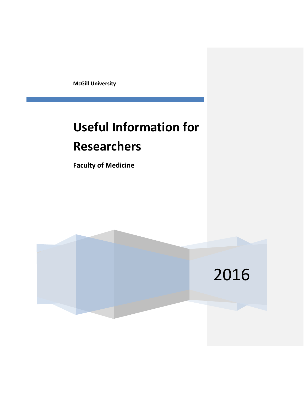**McGill University**

# **Useful Information for Researchers**

**Faculty of Medicine**

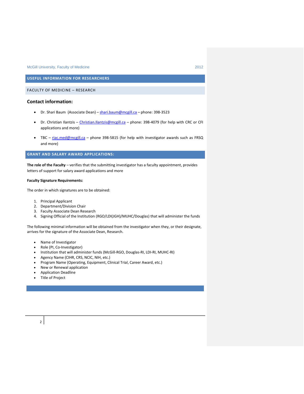**USEFUL INFORMATION FOR RESEARCHERS**

FACULTY OF MEDICINE – RESEARCH

# **Contact information:**

- Dr. Shari Baum (Associate Dean) [shari.baum@mcgill.ca](mailto:shari.baum@mcgill.ca) phone: 398-3523
- Dr. Christian Ilantzis [Christian.Ilantzis@mcgill.ca](mailto:Christian.Ilantzis@mcgill.ca) phone: 398-4079 (for help with CRC or CFI applications and more)
- TBC [riac.med@mcgill.ca](mailto:riac.med@mcgill.ca) phone 398-5815 (for help with investigator awards such as FRSQ and more)

# **GRANT AND SALARY AWARD APPLICATIONS:**

**The role of the Faculty** – verifies that the submitting investigator has a faculty appointment, provides letters of support for salary award applications and more

### **Faculty Signature Requirements:**

The order in which signatures are to be obtained:

- 1. Principal Applicant
- 2. Department/Division Chair
- 3. Faculty Associate Dean Research
- 4. Signing Official of the Institution (RGO/LDI(JGH)/MUHC/Douglas) that will administer the funds

The following minimal information will be obtained from the investigator when they, or their designate, arrives for the signature of the Associate Dean, Research.

- Name of Investigator
- Role (PI, Co-Investigator)
- Institution that will administer funds (McGill-RGO, Douglas-RI, LDI-RI, MUHC-RI)
- Agency Name (CIHR, CRS, NCIC, NIH, etc.)
- Program Name (Operating, Equipment, Clinical Trial, Career Award, etc.)
- New or Renewal application
- Application Deadline
- Title of Project

# $2<sup>1</sup>$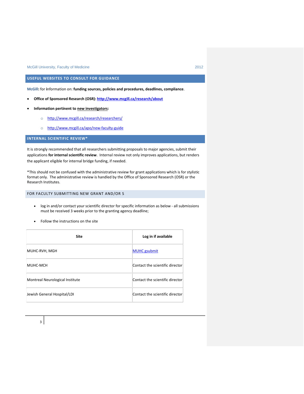# **USEFUL WEBSITES TO CONSULT FOR GUIDANCE**

**McGill:** for **i**nformation on: **funding sources, policies and procedures, deadlines, compliance**.

- **Office of Sponsored Research (OSR):<http://www.mcgill.ca/research/about>**
- **Information pertinent to new investigators:** 
	- o <http://www.mcgill.ca/research/researchers/>
	- o <http://www.mcgill.ca/apo/new-faculty-guide>

# **INTERNAL SCIENTIFIC REVIEW\***

It is strongly recommended that all researchers submitting proposals to major agencies, submit their applications **for internal scientific review**. Internal review not only improves applications, but renders the applicant eligible for internal bridge funding, if needed.

\*This should not be confused with the administrative review for grant applications which is for stylistic format only. The administrative review is handled by the Office of Sponsored Research (OSR) or the Research Institutes.

# FOR FACULTY SUBMITTING NEW GRANT AND/OR S

- log in and/or contact your scientific director for specific information as below all submissions must be received 3 weeks prior to the granting agency deadline;
- Follow the instructions on the site

| <b>Site</b>                     | Log in if available             |
|---------------------------------|---------------------------------|
| MUHC-RVH, MGH                   | <b>MUHC</b> gsubmit             |
| MUHC-MCH                        | Contact the scientific director |
| Montreal Neurological Institute | Contact the scientific director |
| Jewish General Hospital/LDI     | Contact the scientific director |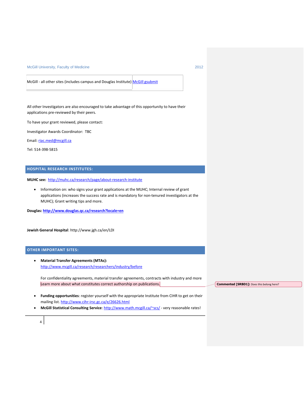McGill - all other sites (includes campus and Douglas Institute) [McGill gsubmit](https://medoas.medicine.mcgill.ca/pls/htmldb/f?p=271:101:8279586587742)

All other Investigators are also encouraged to take advantage of this opportunity to have their applications pre-reviewed by their peers.

To have your grant reviewed, please contact:

Investigator Awards Coordinator: TBC

Email: [riac.med@mcgill.ca](mailto:riac.med@mcgill.ca)

Tel: 514-398-5815

# **HOSPITAL RESEARCH INSTITUTES:**

**MUHC see:** <http://muhc.ca/research/page/about-research-institute>

• Information on: who signs your grant applications at the MUHC; Internal review of grant applications (increases the success rate and is mandatory for non-tenured investigators at the MUHC); Grant writing tips and more.

**Douglas: <http://www.douglas.qc.ca/research?locale=en>**

**Jewish General Hospital**: http://www.jgh.ca/en/LDI

### **OTHER IMPORTANT SITES:**

4

 **Material Transfer Agreements (MTAs):** <http://www.mcgill.ca/research/researchers/industry/before>

For confidentiality agreements, material transfer agreements, contracts with industry and more Learn more about what constitutes correct authorship on publications.

- **Funding opportunities**: register yourself with the appropriate Institute from CIHR to get on their mailing list. <http://www.cihr-irsc.gc.ca/e/26626.html>
- **McGill Statistical Consulting Service**:<http://www.math.mcgill.ca/~scs/> very reasonable rates!

**Commented [SRBD1]:** Does this belong here?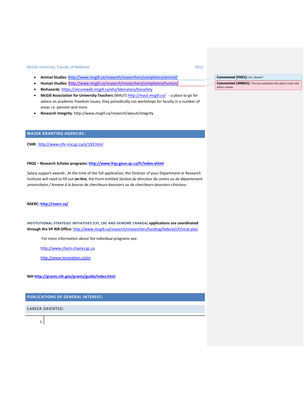- **Animal Studies**[: http://www.mcgill.ca/research/researchers/compliance/animal/](http://www.mcgill.ca/research/researchers/compliance/animal/)
- **Human Studies**:<http://www.mcgill.ca/research/researchers/compliance/human/>
- **Biohazards**[: https://secureweb.mcgill.ca/ehs/laboratory/biosafety](https://secureweb.mcgill.ca/ehs/laboratory/biosafety)
- **McGill Association for University Teachers** (MAUT[\) http://maut.mcgill.ca/](http://maut.mcgill.ca/)  a place to go for advice on academic freedom issues; they periodically run workshops for faculty in a number of areas i.e. pension and more.
- **Research Integrity**: http://www.mcgill.ca/research/about/integrity

# **MAJOR GRANTING AGENCIES:**

**CIHR:** <http://www.cihr-irsc.gc.ca/e/193.html>

# **FRQS – Research Scholar programs:<http://www.frqs.gouv.qc.ca/fr/index.shtml>**

Salary support awards: At the time of the full application, the Director of your Department or Research Institute will need to fill out **on-line**, the Form entitled *Section du directeur du centre ou du département universitaire / Annexe à la bourse de chercheurs-boursiers ou de chercheurs-boursiers cliniciens.*

# **NSERC:<http://nserc.ca/>**

**INSTITUTIONAL STRATEGIC INITIATIVES (CFI, CRC AND GENOME CANADA) applications are coordinated through the VP RIR Office:** <http://www.mcgill.ca/research/researchers/funding/federal/cfi/strat-plan>

For more information about the individual programs see:

[http://www.chairs-chaires.gc.ca](http://www.chairs-chaires.gc.ca/)

<http://www.innovation.ca/en>

**NIH<http://grants.nih.gov/grants/guide/index.html>**

**PUBLICATIONS OF GENERAL INTEREST:**

CAREER ORIENTED:

#### **Commented [FDE2]:** Do I delete?

**Commented [SRBD3]:** This has outdated info about multi=site ethics review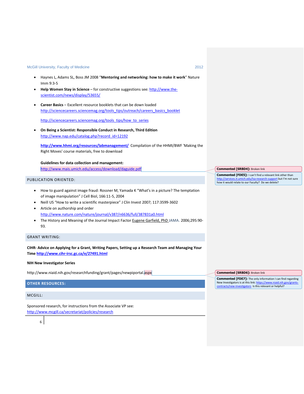- Haynes L, Adams SL, Boss JM 2008 "**Mentoring and networking: how to make it work**" Nature Imm 9:3-5
- **Help Women Stay in Science** for constructive suggestions see[: http://www.the](http://www.the-scientist.com/news/display/53655/)[scientist.com/news/display/53655/](http://www.the-scientist.com/news/display/53655/)
- **Career Basics** Excellent resource booklets that can be down loaded [http://sciencecareers.sciencemag.org/tools\\_tips/outreach/careers\\_basics\\_booklet](http://sciencecareers.sciencemag.org/tools_tips/outreach/careers_basics_booklet)

[http://sciencecareers.sciencemag.org/tools\\_tips/how\\_to\\_series](http://sciencecareers.sciencemag.org/tools_tips/how_to_series)

 **On Being a Scientist: Responsible Conduct in Research, Third Edition** [http://www.nap.edu/catalog.php?record\\_id=12192](http://www.nap.edu/catalog.php?record_id=12192)

**<http://www.hhmi.org/resources/labmanagement/>** Compilation of the HHMI/BWF 'Making the Right Moves' course materials, free to download

**Guidelines for data collection and management:** <http://www.mais.umich.edu/access/download/daguide.pdf>

#### PUBLICATION ORIENTED:

- How to guard against image fraud: Rossner M, Yamada K "What's in a picture? The temptation of image manipulation" J Cell Biol, 166:11-5, 2004
- Neill US "How to write a scientific masterpiece" J Clin Invest 2007; 117:3599-3602
- Article on authorship and order <http://www.nature.com/nature/journal/v387/n6636/full/387831a0.html>
- The History and Meaning of the Journal Impact Factor [Eugene Garfield, PhD J](http://jama.ama-assn.org/cgi/content/full/295/1/90#AUTHINFO)AMA. 2006;295:90-93.

# GRANT WRITING:

**CIHR- Advice on Applying for a Grant, Writing Papers, Setting up a Research Team and Managing Your Time <http://www.cihr-irsc.gc.ca/e/27491.html>**

### **NIH New Investigator Series**

http://www.niaid.nih.gov/researchfunding/grant/pages/newpiportal.aspx

# **OTHER RESOURCES:**

MCGILL:

Sponsored research, for instructions from the Associate VP see: <http://www.mcgill.ca/secretariat/policies/research>

**Commented [SRBD4]:** Broken link

**Commented [FDE5]:** I can't find a relevant link other than lu/lsa-research-support but I'm not sure how it would relate to our Faculty? Do we delete?

**Commented [SRBD6]:** Broken link

**Commented [FDE7]:** The only information I can find regarding New Investigators is at this link: https://www. investigators Is this relevant or helpful?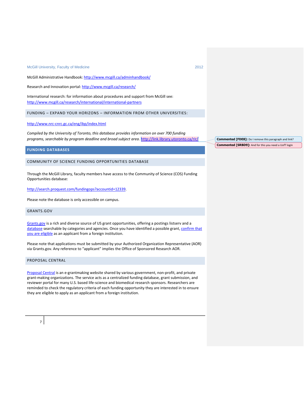McGill Administrative Handbook[: http://www.mcgill.ca/adminhandbook/](http://www.mcgill.ca/adminhandbook/)

Research and Innovation portal[: http://www.mcgill.ca/research/](http://www.mcgill.ca/research/)

International research: for information about procedures and support from McGill see: <http://www.mcgill.ca/research/international/international-partners>

#### FUNDING – EXPAND YOUR HORIZONS – INFORMATION FROM OTHER UNIVERSITIES:

<http://www.nrc-cnrc.gc.ca/eng/ibp/index.html>

*Compiled by the University of Toronto, this database provides information on over 700 funding programs, searchable by program deadline and broad subject area.* <http://link.library.utoronto.ca/rir/>

#### **FUNDING DATABASES**

# COMMUNITY OF SCIENCE FUNDING OPPORTUNITIES DATABASE

Through the McGill Library, faculty members have access to the Community of Science (COS) Funding Opportunities database:

[http://search.proquest.com/fundingops?accountid=12339.](http://search.proquest.com/fundingops?accountid=12339)

Please note the database is only accessible on campus.

#### GRANTS.GOV

[Grants.gov](http://www07.grants.gov/index.jsp) is a rich and diverse source of US grant opportunities, offering a postings listserv and a [database](http://www07.grants.gov/applicants/find_grant_opportunities.jsp) searchable by categories and agencies. Once you have identified a possible grant, confirm that [you are eligible](http://www07.grants.gov/aboutgrants/eligibility.jsp) as an applicant from a foreign institution.

Please note that applications must be submitted by your Authorized Organization Representative (AOR) via Grants.gov. Any reference to "applicant" implies the Office of Sponsored Research AOR.

# PROPOSAL CENTRAL

[Proposal Central](https://proposalcentral.altum.com/) is an e-grantmaking website shared by various government, non-profit, and private grant-making organizations. The service acts as a centralized funding database, grant submission, and reviewer portal for many U.S. based life-science and biomedical research sponsors. Researchers are reminded to check the regulatory criteria of each funding opportunity they are interested in to ensure they are eligible to apply as an applicant from a foreign institution.

**Commented [SRBD9]:** And for this you need a UofT login **Commented [FDE8]:** Do I remove this paragraph and link?